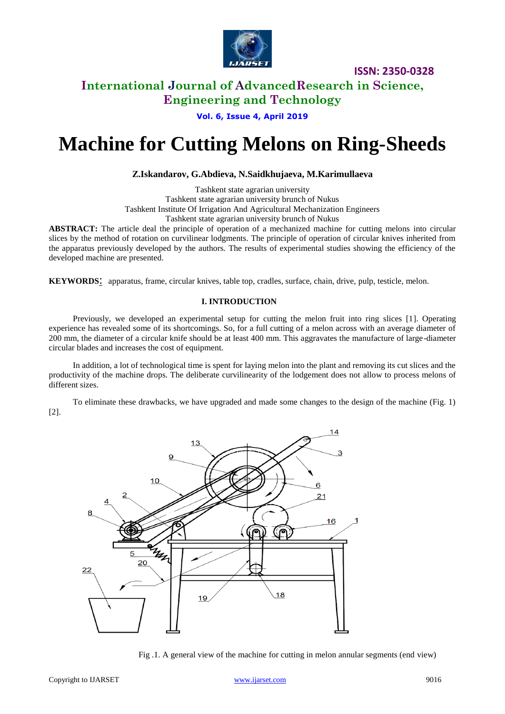

## **International Journal of AdvancedResearch in Science, Engineering and Technology**

**Vol. 6, Issue 4, April 2019**

# **Machine for Cutting Melons on Ring-Sheeds**

### **Z.Iskandarov, G.Abdieva, N.Saidkhujaeva, M.Karimullaeva**

Tashkent state agrarian university Tashkent state agrarian university brunch of Nukus [Tashkent Institute Of Irrigation And Agricultural Mechanization Engineers](http://tiiame.uz/en) Tashkent state agrarian university brunch of Nukus

**ABSTRACT:** The article deal the principle of operation of a mechanized machine for cutting melons into circular slices by the method of rotation on curvilinear lodgments. The principle of operation of circular knives inherited from the apparatus previously developed by the authors. The results of experimental studies showing the efficiency of the developed machine are presented.

**KEYWORDS**: apparatus, frame, circular knives, table top, cradles, surface, chain, drive, pulp, testicle, melon.

#### **I. INTRODUCTION**

Previously, we developed an experimental setup for cutting the melon fruit into ring slices [1]. Operating experience has revealed some of its shortcomings. So, for a full cutting of a melon across with an average diameter of 200 mm, the diameter of a circular knife should be at least 400 mm. This aggravates the manufacture of large-diameter circular blades and increases the cost of equipment.

In addition, a lot of technological time is spent for laying melon into the plant and removing its cut slices and the productivity of the machine drops. The deliberate curvilinearity of the lodgement does not allow to process melons of different sizes.

To eliminate these drawbacks, we have upgraded and made some changes to the design of the machine (Fig. 1) [2].



Fig .1. A general view of the machine for cutting in melon annular segments (end view)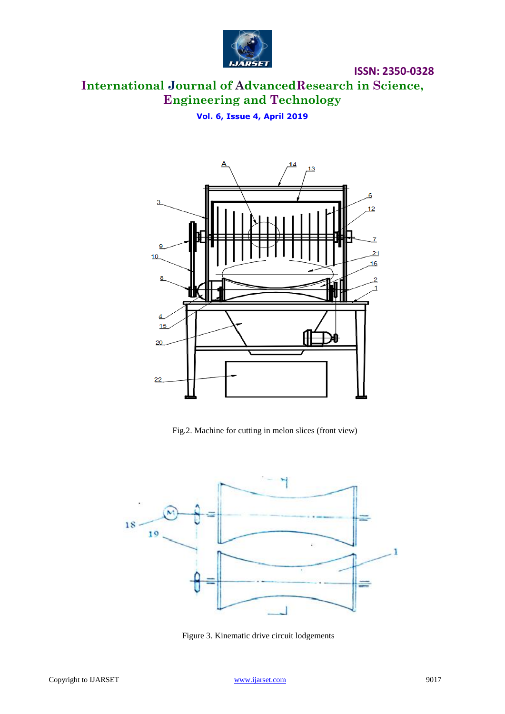

# **International Journal of AdvancedResearch in Science, Engineering and Technology**

**Vol. 6, Issue 4, April 2019**



Fig.2. Machine for cutting in melon slices (front view)



Figure 3. Kinematic drive circuit lodgements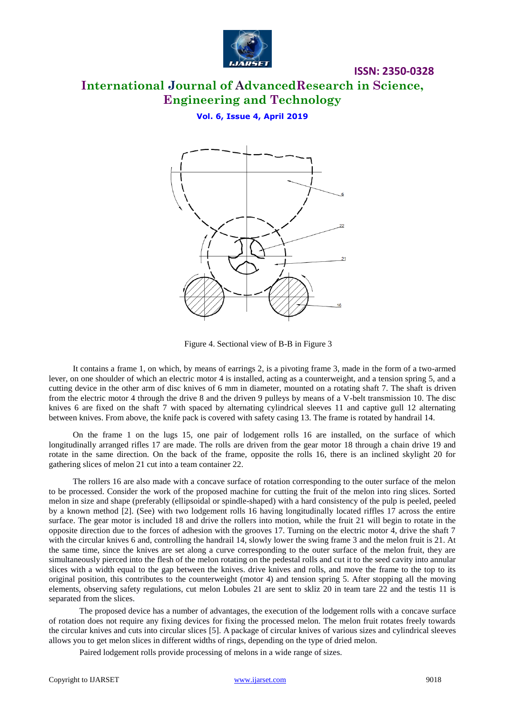

# **International Journal of AdvancedResearch in Science, Engineering and Technology**

**Vol. 6, Issue 4, April 2019**



Figure 4. Sectional view of B-B in Figure 3

It contains a frame 1, on which, by means of earrings 2, is a pivoting frame 3, made in the form of a two-armed lever, on one shoulder of which an electric motor 4 is installed, acting as a counterweight, and a tension spring 5, and a cutting device in the other arm of disc knives of 6 mm in diameter, mounted on a rotating shaft 7. The shaft is driven from the electric motor 4 through the drive 8 and the driven 9 pulleys by means of a V-belt transmission 10. The disc knives 6 are fixed on the shaft 7 with spaced by alternating cylindrical sleeves 11 and captive gull 12 alternating between knives. From above, the knife pack is covered with safety casing 13. The frame is rotated by handrail 14.

On the frame 1 on the lugs 15, one pair of lodgement rolls 16 are installed, on the surface of which longitudinally arranged rifles 17 are made. The rolls are driven from the gear motor 18 through a chain drive 19 and rotate in the same direction. On the back of the frame, opposite the rolls 16, there is an inclined skylight 20 for gathering slices of melon 21 cut into a team container 22.

The rollers 16 are also made with a concave surface of rotation corresponding to the outer surface of the melon to be processed. Consider the work of the proposed machine for cutting the fruit of the melon into ring slices. Sorted melon in size and shape (preferably (ellipsoidal or spindle-shaped) with a hard consistency of the pulp is peeled, peeled by a known method [2]. (See) with two lodgement rolls 16 having longitudinally located riffles 17 across the entire surface. The gear motor is included 18 and drive the rollers into motion, while the fruit 21 will begin to rotate in the opposite direction due to the forces of adhesion with the grooves 17. Turning on the electric motor 4, drive the shaft 7 with the circular knives 6 and, controlling the handrail 14, slowly lower the swing frame 3 and the melon fruit is 21. At the same time, since the knives are set along a curve corresponding to the outer surface of the melon fruit, they are simultaneously pierced into the flesh of the melon rotating on the pedestal rolls and cut it to the seed cavity into annular slices with a width equal to the gap between the knives. drive knives and rolls, and move the frame to the top to its original position, this contributes to the counterweight (motor 4) and tension spring 5. After stopping all the moving elements, observing safety regulations, cut melon Lobules 21 are sent to skliz 20 in team tare 22 and the testis 11 is separated from the slices.

The proposed device has a number of advantages, the execution of the lodgement rolls with a concave surface of rotation does not require any fixing devices for fixing the processed melon. The melon fruit rotates freely towards the circular knives and cuts into circular slices [5]. A package of circular knives of various sizes and cylindrical sleeves allows you to get melon slices in different widths of rings, depending on the type of dried melon.

Paired lodgement rolls provide processing of melons in a wide range of sizes.